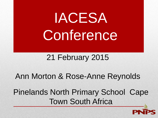# IACESA Conference

#### 21 February 2015

#### Ann Morton & Rose-Anne Reynolds

### Pinelands North Primary School Cape Town South Africa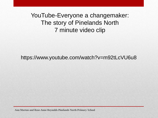YouTube-Everyone a changemaker: The story of Pinelands North 7 minute video clip

https://www.youtube.com/watch?v=m92tLcVU6u8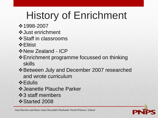## History of Enrichment

- ❖ 1998-2007
- Just enrichment
- **❖ Staff in classrooms**
- **❖ Elitist**
- $\diamond$  **New Zealand ICP**
- Enrichment programme focussed on thinking skills
- $\div$  **Between July and December 2007 researched** and wrote curriculum
- **☆Edulis**
- Jeanette Plauche Parker
- $\div$ **3 staff members**
- ❖ Started 2008

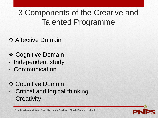### 3 Components of the Creative and Talented Programme

- **❖ Affective Domain**
- **❖ Cognitive Domain:**
- Independent study
- Communication
- **❖ Cognitive Domain**
- Critical and logical thinking
- **Creativity**

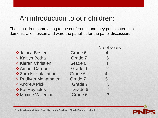#### An introduction to our children:

These children came along to the conference and they participated in a demonstration lesson and were the panellist for the panel discussion.

|                       |         | No of years    |
|-----------------------|---------|----------------|
| ❖ Jaluca Bester       | Grade 6 | $\overline{4}$ |
| ❖ Kaitlyn Botha       | Grade 7 | 5              |
| ❖ Kieran Christien    | Grade 6 | $\overline{4}$ |
| ❖ Ameer Darries       | Grade 6 | $\overline{2}$ |
| ❖ Zara Nijzink Laurie | Grade 6 | $\overline{4}$ |
| ❖ Radiyah Mohammed    | Grade 7 | 5              |
| ❖ Andrew Pick         | Grade 7 | 3              |
| ❖ Kai Reynolds        | Grade 6 | $\overline{4}$ |
| ❖ Maxine Wiseman      | Grade 6 | 3              |

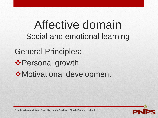Affective domain Social and emotional learning General Principles:  $♦$  **Personal growth** Motivational development

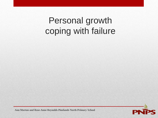## Personal growth coping with failure

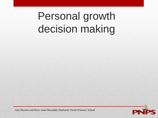## Personal growth decision making

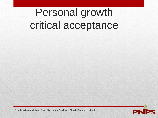## Personal growth critical acceptance

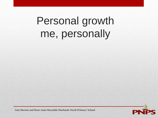## Personal growth me, personally

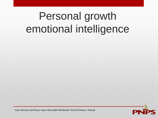## Personal growth emotional intelligence

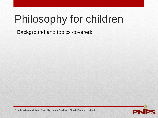## Philosophy for children

Background and topics covered:

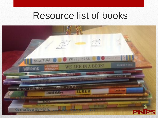## Resource list of books

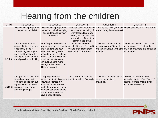## Hearing from the children

| Child   | <b>Question 1</b>                                                                                                                                                                           | Question 2                                                                                                                                                                                                                                                                                                                                                               | Question 3                                                                                                                             | Question 4                                                                                        | Question 5                                                                                                                  |
|---------|---------------------------------------------------------------------------------------------------------------------------------------------------------------------------------------------|--------------------------------------------------------------------------------------------------------------------------------------------------------------------------------------------------------------------------------------------------------------------------------------------------------------------------------------------------------------------------|----------------------------------------------------------------------------------------------------------------------------------------|---------------------------------------------------------------------------------------------------|-----------------------------------------------------------------------------------------------------------------------------|
|         | How has this programme<br>helped you socially?                                                                                                                                              | How has this programme<br>helped you with identifying<br>and understanding your<br>emotions?                                                                                                                                                                                                                                                                             | cards in the beginning of<br>every lesson taught you<br>about your emotions and<br>the emotions of the other<br>children in the group? | learnt during these lessons?                                                                      | How has using your feeling What do you think you have What would you still like to learn?                                   |
| Child 1 | It has made me more<br>aware of things and more<br>specifically, people<br>surrounding me. It gave<br>me a slight ability to try<br>and figure out what they<br>could possibly be thinking. | It has helped me understand To respect what other<br>how other people are feeling people think and feel and to to express myself in public<br>and to understand how<br>others are feeling and to<br>understand their problems<br>more. I can deal with more<br>emotional situations and<br>can put names to more<br>feelings. I also understand<br>different people too. | try and understand them<br>even if I don't like them.                                                                                  | I have learnt that it is okay<br>and that I can love (and eat)<br>animals.                        | I would like to learn how to show<br>my emotions in an unfriendly<br>environment where it is difficult to<br>find a friend. |
| Child 2 | It taught me to calm down<br>when I am angry with<br>someone and to sort out<br>my emotions and every<br>problem or crazy and<br>confusing thought.                                         | This programme has<br>showed me that it is okay to the other children's moods.<br>show and express my<br>emotions. It also showed<br>me that the way we use our<br>emotions can affect others<br>so that means we must<br>have a good attitude.                                                                                                                          | I have learnt more about                                                                                                               | I have learnt that you can be I'd like to know more about<br>creative without even<br>knowing it. | mentality and the after effects of<br>trauma, or more artistic things<br>and ancient literature.                            |

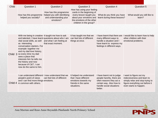| Child   | Question 1                                                                                                                                                                                                                                                                                                                                         | Question 2                                                                                             | Question 3                                                                                                                                                           | Question 4                                                                                                                                             | Question 5                                                                                                                                             |
|---------|----------------------------------------------------------------------------------------------------------------------------------------------------------------------------------------------------------------------------------------------------------------------------------------------------------------------------------------------------|--------------------------------------------------------------------------------------------------------|----------------------------------------------------------------------------------------------------------------------------------------------------------------------|--------------------------------------------------------------------------------------------------------------------------------------------------------|--------------------------------------------------------------------------------------------------------------------------------------------------------|
|         | How has this programme<br>helped you socially?                                                                                                                                                                                                                                                                                                     | How has this programme<br>helped you with identifying<br>and understanding your<br>emotions?           | How has using your feeling<br>cards in the beginning of<br>every lesson taught you<br>about your emotions and<br>the emotions of the other<br>children in the group? | What do you think you have<br>learnt during these lessons?                                                                                             | What would you still like to<br>learn?                                                                                                                 |
|         |                                                                                                                                                                                                                                                                                                                                                    |                                                                                                        |                                                                                                                                                                      |                                                                                                                                                        |                                                                                                                                                        |
|         | With me being in creative It taught me how to ask<br>vital social skills, as well<br>as interesting<br>conversation starters. For<br>example: together me<br>and my dad love history,<br>Child 3 so every time my dad<br>sees a place that<br>interests him he tells me<br>the history and now<br>because of C&T, I can<br>now do the same to him. | and talented, I have learnt questions about who I am<br>and what I am feeling at<br>that exact moment. | It has taught me that we<br>can feel lots of different<br>things at once.                                                                                            | I have learnt that there are<br>many different ways to<br>handle a situation and I<br>have learnt to express my<br>feelings in different ways.         | I would like to learn how to help<br>other children with their<br>emotional problems.                                                                  |
| Child 4 | I can understand different I now understand that we<br>people's point of views<br>and I can find more things emotions.<br>in common with others.                                                                                                                                                                                                   | can feel lots of different                                                                             | It helped me understand<br>that I have different<br>emotions towards my<br>friends in the same<br>situations.                                                        | I have learnt not to judge<br>people harshly, there are<br>often reasons they act a<br>certain way. Also how to<br>handle social situations<br>better. | I want to figure out my<br>indecisiveness and learn to<br>simply relax and stop trying to<br>figure everything out before it<br>even starts to happen. |

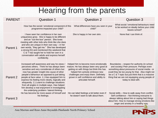#### Hearing from the parents

| <b>PARENT</b> | <b>Question 1</b>                                                                                                                                                                                                                                                                                                                                                                                                                                                                                                                             | <b>Question 2</b>                                                                                                                                                                                                                                                           | <b>Question 3</b>                                                                                                                                                                                                                                                                                                              |
|---------------|-----------------------------------------------------------------------------------------------------------------------------------------------------------------------------------------------------------------------------------------------------------------------------------------------------------------------------------------------------------------------------------------------------------------------------------------------------------------------------------------------------------------------------------------------|-----------------------------------------------------------------------------------------------------------------------------------------------------------------------------------------------------------------------------------------------------------------------------|--------------------------------------------------------------------------------------------------------------------------------------------------------------------------------------------------------------------------------------------------------------------------------------------------------------------------------|
|               | How has the social / emotional component of this<br>programme impacted your child?                                                                                                                                                                                                                                                                                                                                                                                                                                                            | What differences have you seen in your<br>child?                                                                                                                                                                                                                            | What social / emotional behaviours need<br>to be worked on ideally before your child<br>leaves school?                                                                                                                                                                                                                         |
| Parent 1      | I have seen her confidence in her own<br>uniqueness grow. She is happy to be different<br>and an "out-the-box" person. She loves<br>meeting with other kids who think like she does<br>and who are unique in their own way - in her<br>own words, "they get me." She has developed<br>a strong EQ and mentioned this weekend that<br>C & T has taught her to hold her own in a<br>conversation with adults and express herself<br>confidently.                                                                                                | She is happy in her own skin.                                                                                                                                                                                                                                               | None that I can think of.                                                                                                                                                                                                                                                                                                      |
| Parent 2      | Increased self awareness and way he views /<br>perceives others. Think he has always been<br>sensitive and very considerate of others but<br>now has greater insight into cause of other<br>people's behaviour as opposed to just taking<br>people at face value. 1.) Has equipped him to<br>express his feeling more clearly, logically and<br>eloquently. 2.) Learnt to challenge situations<br>from all angles in multiple ways. Has helped<br>him develop a real enjoyment in investigating<br>the underlying problem / lateral thinking. | Helped him to become more emotionally<br>mature. He has always been very good at<br>getting on with things but think this has<br>helped him actively embrace new<br>challenges and enjoy them. Definitely<br>grown in self confidence and ability to<br>articulate himself. | Boundaries - respect for authority (in school<br>and society) Peer pressure. Perhaps even<br>something about pressures of social media - or<br>could they be too young for that. Also might not<br>be a C & T topic but just think that is a massive<br>thing that we are not equipping young people of<br>today to deal with. |
| Parent 3      | He has become far more aware of himself and<br>his feelings.                                                                                                                                                                                                                                                                                                                                                                                                                                                                                  | He can label feelings a bit better even if<br>he doesn't want to talk about them.                                                                                                                                                                                           | Social skills - How to walk away from conflict.<br>Self confidence - Not thinking everyone is<br>always talking about him or saying bad things<br>about him. How to manage strong emotions like<br>anger and anxiety in a healthy way.                                                                                         |

**PNPS**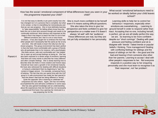#### How has the social / emotional component of What differences have you seen in your this programme impacted your child? child?

It is not that easy to identify or pin point exactly how she has changed nor is it a process that is complete, but what is for certain, is that it is benefiting her tremendously and that we can see progress. She is most definitely learning

to "take responsibility" for letting others know how she feels this not a short term process though and needs to be continually reinforced. Most obvious and important at this stage is that it has begun to teach her that it is ok to feel

different emotions and that it is ok to voice those emotions. It has also taught her to embrace the fact that other people don't necessarily feel the same as her at any one time. She still needs to learn this fully but she has shown progress. The group environment has been perfect in that she feels more comfortable with a group of friends who all participate than to for instance, tell a psychologist. She feels secure, safe and comfortable and has helped her to open up and accept feelings as being ok. She has also been exposed to a whole range of emotions, learning that there are many words to describe her many different and often complex feelings. She is slowly learning how to describe what she feels in more creative and honest ways. Overall we have seen a growth in her emotional maturity. We have also witnessed her dealing with difficult situations or trying to understand them by beginning to "see" the

context or bigger picture. For example, occasional forms of bullying. The fact that she can spend time with the C&T group in a safe environment has made her feel special in that she doesn't feel that her being different is "wrong".

Quite the opposite! She is learning to celebrate her uniqueness but also others. Again, she has not entirely accomplished this and still lacks confidence in some ways. She has also gained knowledge and an understanding about life experiences that she herself has not necessarily experienced first-hand, thus opening her mind and in a way preparing her for life.

She is much more confident to be herself even if it means asking difficult questions.

She also takes the time to give her perspective and feels confident to give her perspective on a matter even if it doesn't

always 'sit well' with her 'audience'. These differences are real, but they are not yet fully embedded in her personality.

What social / emotional behaviours need to be worked on ideally before your child leaves school?

Learning skills to help her to control her behaviour / responses, especially when emotions are overwhelming…. Learning to ground herself in order to respond rather than react. Accepting that no-one, including herself, is perfect, yet we are all totally perfect the way we are. So learning to be more confident despite our "short comings". Dealing with peer pressure and feeling confident and ok to disagree with 'trends' / latest trends or popular beliefs / thinking. Time management! Dealing with conflicting feelings for siblings and the impact of siblings on her life – the good and the bad and hearing it from someone else other than her parents. Learning to accept / deal with other people's responses to her. Not everyone responds in a positive way to her enquiring personality and she must learn to recognise it as 'their response', not 'her problem'.



**Ann Morton and Rose-Anne Reynolds Pinelands North Primary School**

#### Parent 4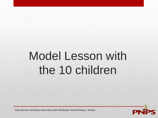# Model Lesson with the 10 children

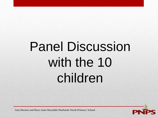# Panel Discussion with the 10 children